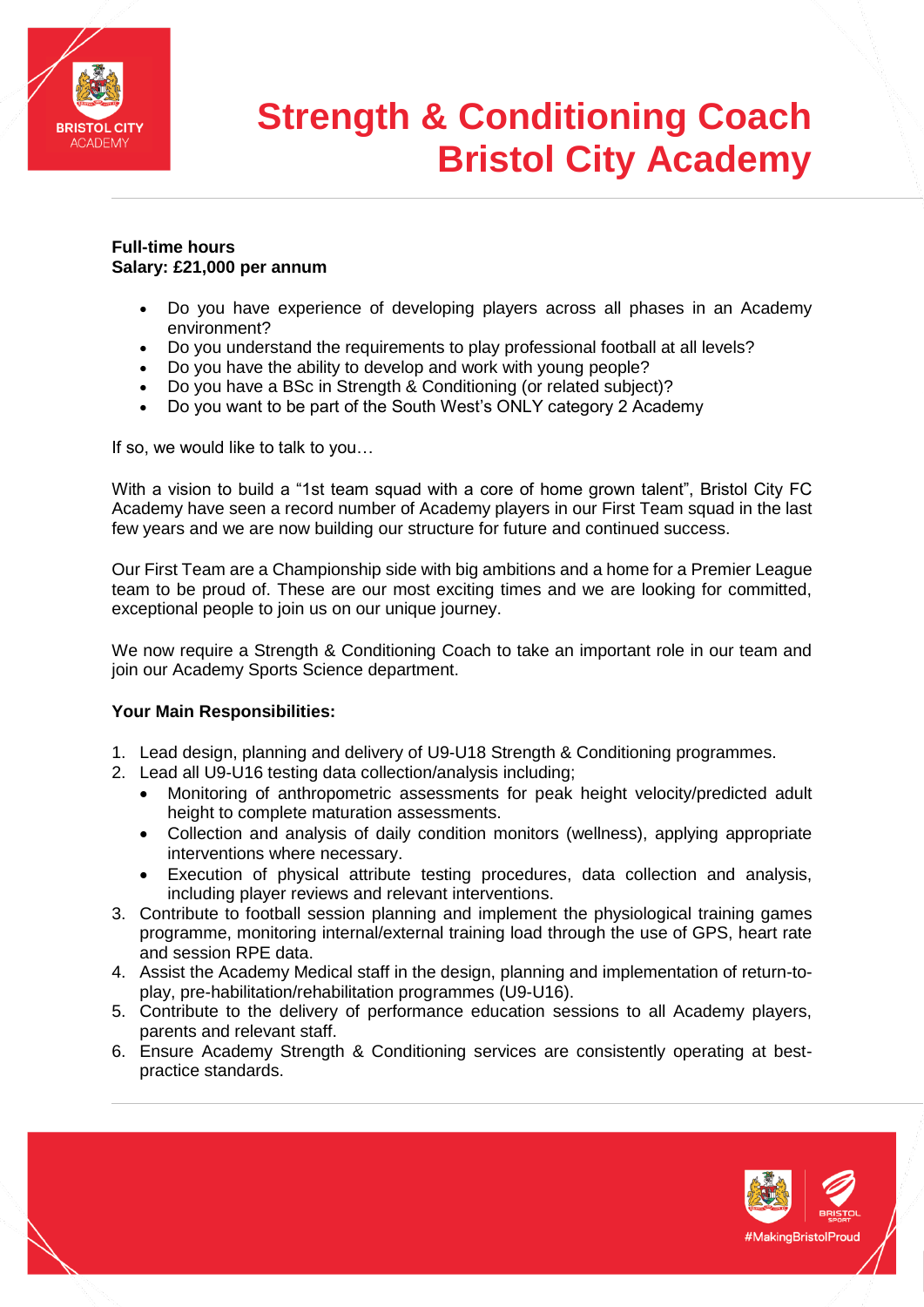

# **Strength & Conditioning Coach Bristol City Academy**

### **Full-time hours Salary: £21,000 per annum**

- Do you have experience of developing players across all phases in an Academy environment?
- Do you understand the requirements to play professional football at all levels?
- Do you have the ability to develop and work with young people?
- Do you have a BSc in Strength & Conditioning (or related subject)?
- Do you want to be part of the South West's ONLY category 2 Academy

If so, we would like to talk to you…

With a vision to build a "1st team squad with a core of home grown talent", Bristol City FC Academy have seen a record number of Academy players in our First Team squad in the last few years and we are now building our structure for future and continued success.

Our First Team are a Championship side with big ambitions and a home for a Premier League team to be proud of. These are our most exciting times and we are looking for committed, exceptional people to join us on our unique journey.

We now require a Strength & Conditioning Coach to take an important role in our team and join our Academy Sports Science department.

### **Your Main Responsibilities:**

- 1. Lead design, planning and delivery of U9-U18 Strength & Conditioning programmes.
- 2. Lead all U9-U16 testing data collection/analysis including;
	- Monitoring of anthropometric assessments for peak height velocity/predicted adult height to complete maturation assessments.
	- Collection and analysis of daily condition monitors (wellness), applying appropriate interventions where necessary.
	- Execution of physical attribute testing procedures, data collection and analysis, including player reviews and relevant interventions.
- 3. Contribute to football session planning and implement the physiological training games programme, monitoring internal/external training load through the use of GPS, heart rate and session RPE data.
- 4. Assist the Academy Medical staff in the design, planning and implementation of return-toplay, pre-habilitation/rehabilitation programmes (U9-U16).
- 5. Contribute to the delivery of performance education sessions to all Academy players, parents and relevant staff.
- 6. Ensure Academy Strength & Conditioning services are consistently operating at bestpractice standards.

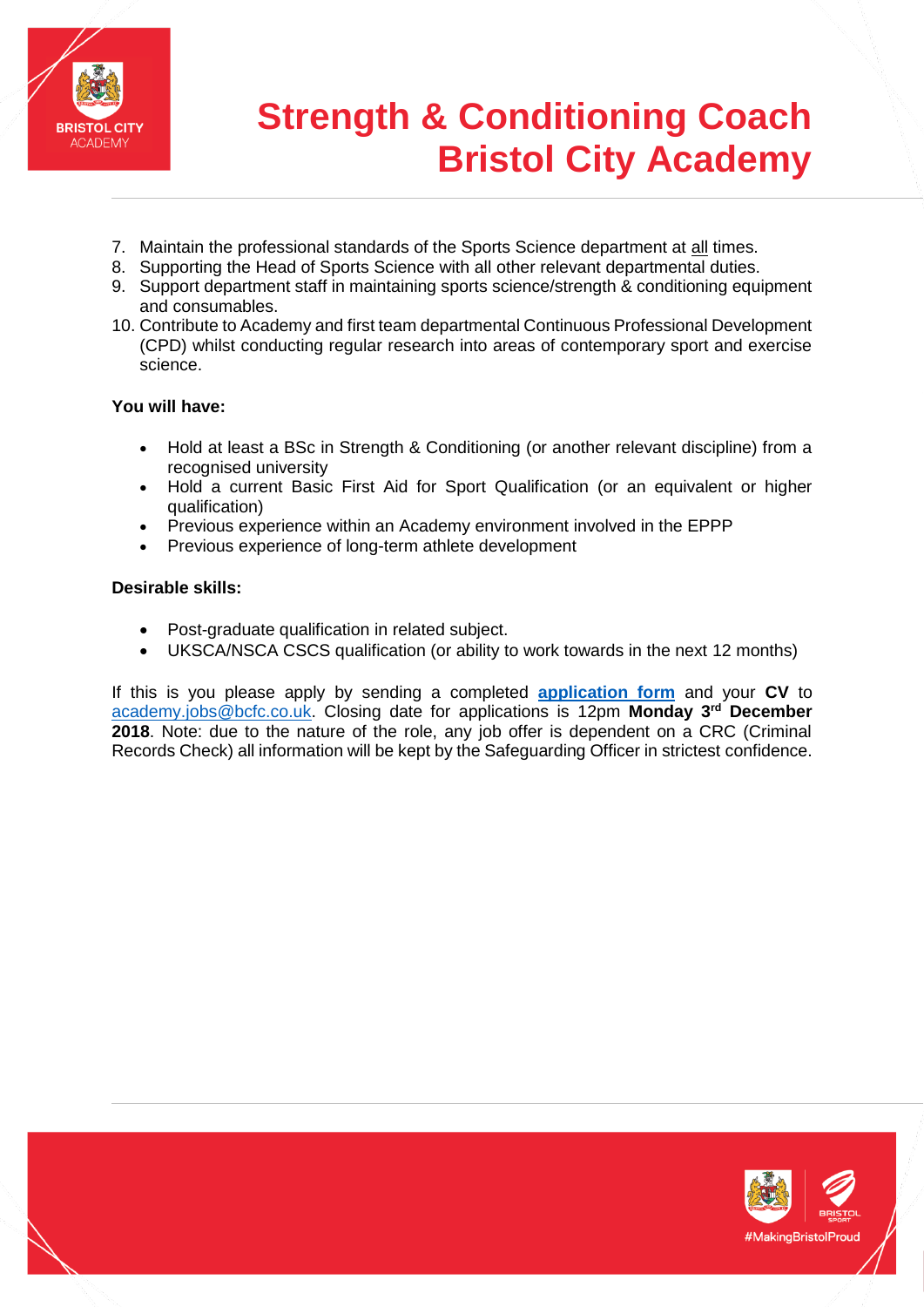

## **Strength & Conditioning Coach Bristol City Academy**

- 7. Maintain the professional standards of the Sports Science department at all times.
- 8. Supporting the Head of Sports Science with all other relevant departmental duties.
- 9. Support department staff in maintaining sports science/strength & conditioning equipment and consumables.
- 10. Contribute to Academy and first team departmental Continuous Professional Development (CPD) whilst conducting regular research into areas of contemporary sport and exercise science.

## **You will have:**

- Hold at least a BSc in Strength & Conditioning (or another relevant discipline) from a recognised university
- Hold a current Basic First Aid for Sport Qualification (or an equivalent or higher qualification)
- Previous experience within an Academy environment involved in the EPPP
- Previous experience of long-term athlete development

## **Desirable skills:**

- Post-graduate qualification in related subject.
- UKSCA/NSCA CSCS qualification (or ability to work towards in the next 12 months)

If this is you please apply by sending a completed **[application form](Bristol%20City%20Academy%20Application%20Form.docx)** and your **CV** to [academy.jobs@bcfc.co.uk.](mailto:academy.jobs@bcfc.co.uk) Closing date for applications is 12pm **Monday 3rd December 2018**. Note: due to the nature of the role, any job offer is dependent on a CRC (Criminal Records Check) all information will be kept by the Safeguarding Officer in strictest confidence.